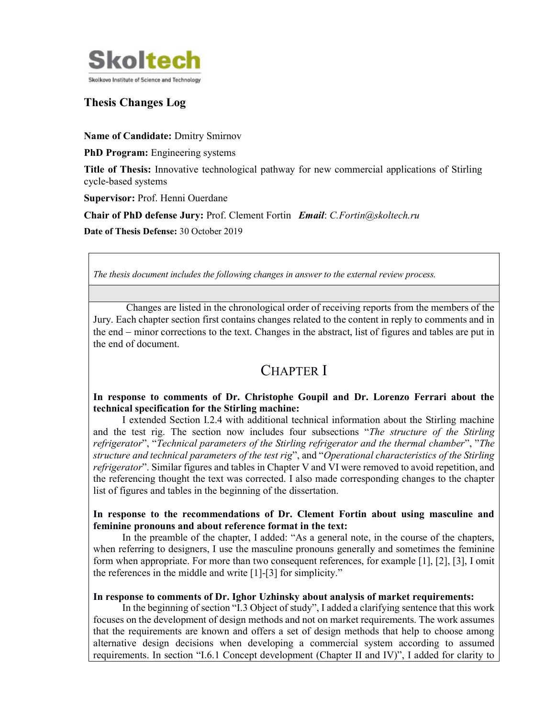

### Thesis Changes Log

Name of Candidate: Dmitry Smirnov

PhD Program: Engineering systems

Title of Thesis: Innovative technological pathway for new commercial applications of Stirling cycle-based systems

Supervisor: Prof. Henni Ouerdane

Chair of PhD defense Jury: Prof. Clement Fortin Email: C.Fortin@skoltech.ru

Date of Thesis Defense: 30 October 2019

The thesis document includes the following changes in answer to the external review process.

Changes are listed in the chronological order of receiving reports from the members of the Jury. Each chapter section first contains changes related to the content in reply to comments and in the end – minor corrections to the text. Changes in the abstract, list of figures and tables are put in the end of document.

## CHAPTER I

#### In response to comments of Dr. Christophe Goupil and Dr. Lorenzo Ferrari about the technical specification for the Stirling machine:

I extended Section I.2.4 with additional technical information about the Stirling machine and the test rig. The section now includes four subsections "The structure of the Stirling refrigerator", "Technical parameters of the Stirling refrigerator and the thermal chamber", "The structure and technical parameters of the test rig", and "Operational characteristics of the Stirling refrigerator". Similar figures and tables in Chapter V and VI were removed to avoid repetition, and the referencing thought the text was corrected. I also made corresponding changes to the chapter list of figures and tables in the beginning of the dissertation.

#### In response to the recommendations of Dr. Clement Fortin about using masculine and feminine pronouns and about reference format in the text:

In the preamble of the chapter, I added: "As a general note, in the course of the chapters, when referring to designers, I use the masculine pronouns generally and sometimes the feminine form when appropriate. For more than two consequent references, for example [1], [2], [3], I omit the references in the middle and write [1]-[3] for simplicity."

#### In response to comments of Dr. Ighor Uzhinsky about analysis of market requirements:

In the beginning of section "I.3 Object of study", I added a clarifying sentence that this work focuses on the development of design methods and not on market requirements. The work assumes that the requirements are known and offers a set of design methods that help to choose among alternative design decisions when developing a commercial system according to assumed requirements. In section "I.6.1 Concept development (Chapter II and IV)", I added for clarity to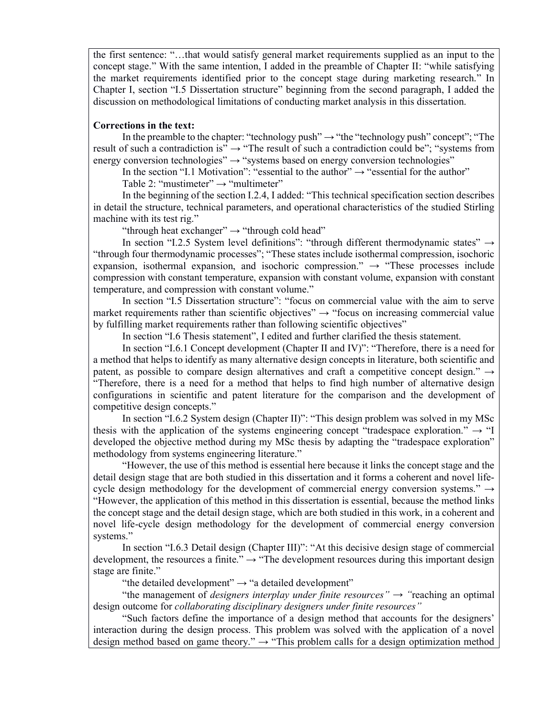the first sentence: "…that would satisfy general market requirements supplied as an input to the concept stage." With the same intention, I added in the preamble of Chapter II: "while satisfying the market requirements identified prior to the concept stage during marketing research." In Chapter I, section "I.5 Dissertation structure" beginning from the second paragraph, I added the discussion on methodological limitations of conducting market analysis in this dissertation.

#### Corrections in the text:

In the preamble to the chapter: "technology push"  $\rightarrow$  "the "technology push" concept"; "The result of such a contradiction is"  $\rightarrow$  "The result of such a contradiction could be"; "systems from energy conversion technologies"  $\rightarrow$  "systems based on energy conversion technologies"

In the section "I.1 Motivation": "essential to the author"  $\rightarrow$  "essential for the author"

Table 2: "mustimeter"  $\rightarrow$  "multimeter"

In the beginning of the section I.2.4, I added: "This technical specification section describes in detail the structure, technical parameters, and operational characteristics of the studied Stirling machine with its test rig."

"through heat exchanger"  $\rightarrow$  "through cold head"

In section "I.2.5 System level definitions": "through different thermodynamic states"  $\rightarrow$ "through four thermodynamic processes"; "These states include isothermal compression, isochoric expansion, isothermal expansion, and isochoric compression."  $\rightarrow$  "These processes include compression with constant temperature, expansion with constant volume, expansion with constant temperature, and compression with constant volume."

In section "I.5 Dissertation structure": "focus on commercial value with the aim to serve market requirements rather than scientific objectives"  $\rightarrow$  "focus on increasing commercial value by fulfilling market requirements rather than following scientific objectives"

In section "I.6 Thesis statement", I edited and further clarified the thesis statement.

In section "I.6.1 Concept development (Chapter II and IV)": "Therefore, there is a need for a method that helps to identify as many alternative design concepts in literature, both scientific and patent, as possible to compare design alternatives and craft a competitive concept design."  $\rightarrow$ "Therefore, there is a need for a method that helps to find high number of alternative design configurations in scientific and patent literature for the comparison and the development of competitive design concepts."

In section "I.6.2 System design (Chapter II)": "This design problem was solved in my MSc thesis with the application of the systems engineering concept "tradespace exploration."  $\rightarrow$  "I developed the objective method during my MSc thesis by adapting the "tradespace exploration" methodology from systems engineering literature."

"However, the use of this method is essential here because it links the concept stage and the detail design stage that are both studied in this dissertation and it forms a coherent and novel lifecycle design methodology for the development of commercial energy conversion systems."  $\rightarrow$ "However, the application of this method in this dissertation is essential, because the method links the concept stage and the detail design stage, which are both studied in this work, in a coherent and novel life-cycle design methodology for the development of commercial energy conversion systems."

In section "I.6.3 Detail design (Chapter III)": "At this decisive design stage of commercial development, the resources a finite."  $\rightarrow$  "The development resources during this important design stage are finite."

"the detailed development"  $\rightarrow$  "a detailed development"

"the management of *designers interplay under finite resources*"  $\rightarrow$  "reaching an optimal" design outcome for *collaborating disciplinary designers under finite resources*"

"Such factors define the importance of a design method that accounts for the designers' interaction during the design process. This problem was solved with the application of a novel design method based on game theory."  $\rightarrow$  "This problem calls for a design optimization method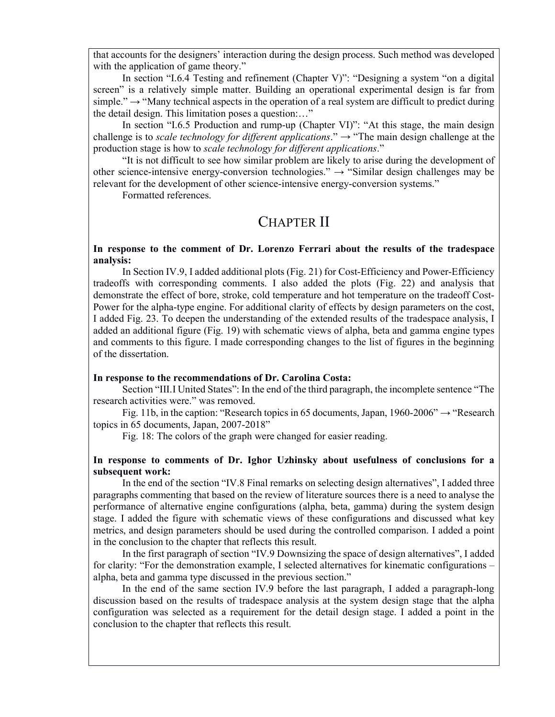that accounts for the designers' interaction during the design process. Such method was developed with the application of game theory."

In section "I.6.4 Testing and refinement (Chapter V)": "Designing a system "on a digital screen" is a relatively simple matter. Building an operational experimental design is far from simple."  $\rightarrow$  "Many technical aspects in the operation of a real system are difficult to predict during the detail design. This limitation poses a question:…"

In section "I.6.5 Production and rump-up (Chapter VI)": "At this stage, the main design challenge is to *scale technology for different applications*."  $\rightarrow$  "The main design challenge at the production stage is how to scale technology for different applications."

"It is not difficult to see how similar problem are likely to arise during the development of other science-intensive energy-conversion technologies."  $\rightarrow$  "Similar design challenges may be relevant for the development of other science-intensive energy-conversion systems."

Formatted references.

### CHAPTER II

In response to the comment of Dr. Lorenzo Ferrari about the results of the tradespace analysis:

In Section IV.9, I added additional plots (Fig. 21) for Cost-Efficiency and Power-Efficiency tradeoffs with corresponding comments. I also added the plots (Fig. 22) and analysis that demonstrate the effect of bore, stroke, cold temperature and hot temperature on the tradeoff Cost-Power for the alpha-type engine. For additional clarity of effects by design parameters on the cost, I added Fig. 23. To deepen the understanding of the extended results of the tradespace analysis, I added an additional figure (Fig. 19) with schematic views of alpha, beta and gamma engine types and comments to this figure. I made corresponding changes to the list of figures in the beginning of the dissertation.

#### In response to the recommendations of Dr. Carolina Costa:

Section "III.I United States": In the end of the third paragraph, the incomplete sentence "The research activities were." was removed.

Fig. 11b, in the caption: "Research topics in 65 documents, Japan, 1960-2006"  $\rightarrow$  "Research" topics in 65 documents, Japan, 2007-2018"

Fig. 18: The colors of the graph were changed for easier reading.

#### In response to comments of Dr. Ighor Uzhinsky about usefulness of conclusions for a subsequent work:

In the end of the section "IV.8 Final remarks on selecting design alternatives", I added three paragraphs commenting that based on the review of literature sources there is a need to analyse the performance of alternative engine configurations (alpha, beta, gamma) during the system design stage. I added the figure with schematic views of these configurations and discussed what key metrics, and design parameters should be used during the controlled comparison. I added a point in the conclusion to the chapter that reflects this result.

In the first paragraph of section "IV.9 Downsizing the space of design alternatives", I added for clarity: "For the demonstration example, I selected alternatives for kinematic configurations – alpha, beta and gamma type discussed in the previous section."

In the end of the same section IV.9 before the last paragraph, I added a paragraph-long discussion based on the results of tradespace analysis at the system design stage that the alpha configuration was selected as a requirement for the detail design stage. I added a point in the conclusion to the chapter that reflects this result.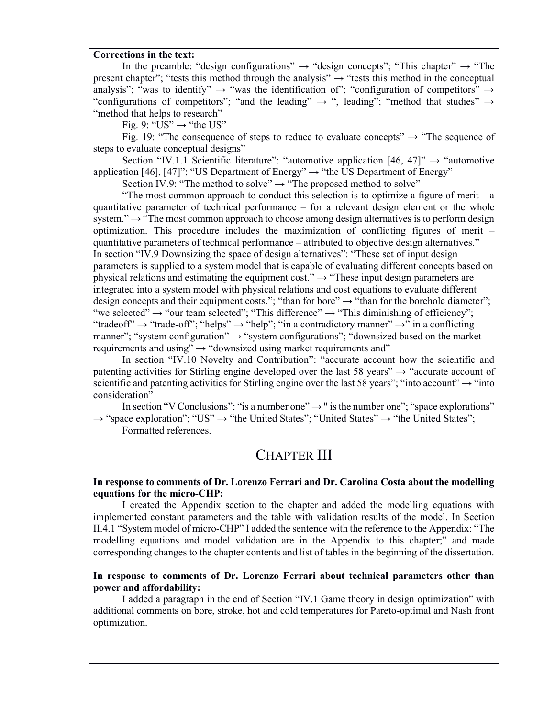#### Corrections in the text:

In the preamble: "design configurations"  $\rightarrow$  "design concepts"; "This chapter"  $\rightarrow$  "The present chapter"; "tests this method through the analysis"  $\rightarrow$  "tests this method in the conceptual analysis"; "was to identify"  $\rightarrow$  "was the identification of"; "configuration of competitors"  $\rightarrow$ "configurations of competitors"; "and the leading"  $\rightarrow$  ", leading"; "method that studies"  $\rightarrow$ "method that helps to research"

Fig. 9: " $US'' \rightarrow$  "the US"

Fig. 19: "The consequence of steps to reduce to evaluate concepts"  $\rightarrow$  "The sequence of steps to evaluate conceptual designs"

Section "IV.1.1 Scientific literature": "automotive application [46, 47]"  $\rightarrow$  "automotive application [46], [47]"; "US Department of Energy"  $\rightarrow$  "the US Department of Energy"

Section IV.9: "The method to solve"  $\rightarrow$  "The proposed method to solve"

"The most common approach to conduct this selection is to optimize a figure of merit – a quantitative parameter of technical performance – for a relevant design element or the whole system." → "The most common approach to choose among design alternatives is to perform design optimization. This procedure includes the maximization of conflicting figures of merit – quantitative parameters of technical performance – attributed to objective design alternatives." In section "IV.9 Downsizing the space of design alternatives": "These set of input design parameters is supplied to a system model that is capable of evaluating different concepts based on physical relations and estimating the equipment cost."  $\rightarrow$  "These input design parameters are integrated into a system model with physical relations and cost equations to evaluate different design concepts and their equipment costs."; "than for bore"  $\rightarrow$  "than for the borehole diameter"; "we selected"  $\rightarrow$  "our team selected"; "This difference"  $\rightarrow$  "This diminishing of efficiency"; "tradeoff"  $\rightarrow$  "trade-off"; "helps"  $\rightarrow$  "help"; "in a contradictory manner"  $\rightarrow$ " in a conflicting manner"; "system configuration"  $\rightarrow$  "system configurations"; "downsized based on the market requirements and using"  $\rightarrow$  "downsized using market requirements and"

In section "IV.10 Novelty and Contribution": "accurate account how the scientific and patenting activities for Stirling engine developed over the last 58 years"  $\rightarrow$  "accurate account of scientific and patenting activities for Stirling engine over the last 58 years"; "into account"  $\rightarrow$  "into consideration"

In section "V Conclusions": "is a number one"  $\rightarrow$  " is the number one"; "space explorations"  $\rightarrow$  "space exploration"; "US"  $\rightarrow$  "the United States"; "United States"  $\rightarrow$  "the United States";

Formatted references.

## CHAPTER III

#### In response to comments of Dr. Lorenzo Ferrari and Dr. Carolina Costa about the modelling equations for the micro-CHP:

I created the Appendix section to the chapter and added the modelling equations with implemented constant parameters and the table with validation results of the model. In Section II.4.1 "System model of micro-CHP" I added the sentence with the reference to the Appendix: "The modelling equations and model validation are in the Appendix to this chapter;" and made corresponding changes to the chapter contents and list of tables in the beginning of the dissertation.

#### In response to comments of Dr. Lorenzo Ferrari about technical parameters other than power and affordability:

I added a paragraph in the end of Section "IV.1 Game theory in design optimization" with additional comments on bore, stroke, hot and cold temperatures for Pareto-optimal and Nash front optimization.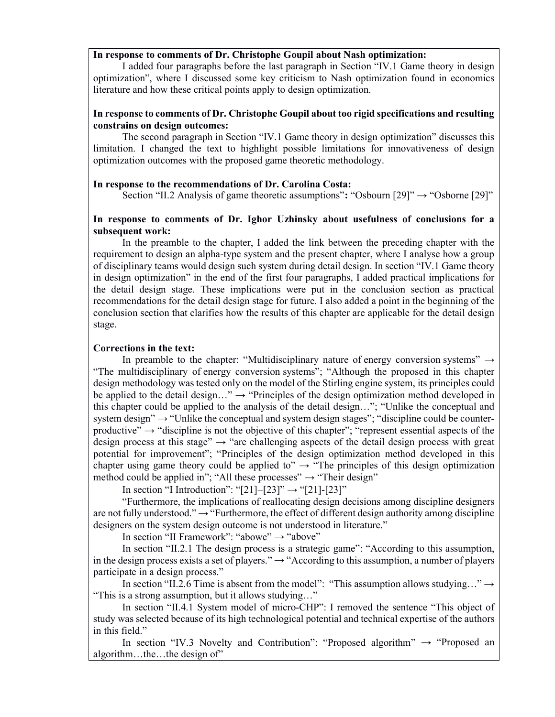#### In response to comments of Dr. Christophe Goupil about Nash optimization:

I added four paragraphs before the last paragraph in Section "IV.1 Game theory in design optimization", where I discussed some key criticism to Nash optimization found in economics literature and how these critical points apply to design optimization.

#### In response to comments of Dr. Christophe Goupil about too rigid specifications and resulting constrains on design outcomes:

The second paragraph in Section "IV.1 Game theory in design optimization" discusses this limitation. I changed the text to highlight possible limitations for innovativeness of design optimization outcomes with the proposed game theoretic methodology.

#### In response to the recommendations of Dr. Carolina Costa:

Section "II.2 Analysis of game theoretic assumptions": "Osbourn [29]"  $\rightarrow$  "Osborne [29]"

#### In response to comments of Dr. Ighor Uzhinsky about usefulness of conclusions for a subsequent work:

In the preamble to the chapter, I added the link between the preceding chapter with the requirement to design an alpha-type system and the present chapter, where I analyse how a group of disciplinary teams would design such system during detail design. In section "IV.1 Game theory in design optimization" in the end of the first four paragraphs, I added practical implications for the detail design stage. These implications were put in the conclusion section as practical recommendations for the detail design stage for future. I also added a point in the beginning of the conclusion section that clarifies how the results of this chapter are applicable for the detail design stage.

#### Corrections in the text:

In preamble to the chapter: "Multidisciplinary nature of energy conversion systems"  $\rightarrow$ "The multidisciplinary of energy conversion systems"; "Although the proposed in this chapter design methodology was tested only on the model of the Stirling engine system, its principles could be applied to the detail design..."  $\rightarrow$  "Principles of the design optimization method developed in this chapter could be applied to the analysis of the detail design…"; "Unlike the conceptual and system design"  $\rightarrow$  "Unlike the conceptual and system design stages"; "discipline could be counterproductive"  $\rightarrow$  "discipline is not the objective of this chapter"; "represent essential aspects of the design process at this stage"  $\rightarrow$  "are challenging aspects of the detail design process with great potential for improvement"; "Principles of the design optimization method developed in this chapter using game theory could be applied to"  $\rightarrow$  "The principles of this design optimization" method could be applied in"; "All these processes"  $\rightarrow$  "Their design"

In section "I Introduction": "[21]-[23]"  $\rightarrow$  "[21]-[23]"

"Furthermore, the implications of reallocating design decisions among discipline designers are not fully understood."  $\rightarrow$  "Furthermore, the effect of different design authority among discipline designers on the system design outcome is not understood in literature."

In section "II Framework": "abowe" → "above"

In section "II.2.1 The design process is a strategic game": "According to this assumption, in the design process exists a set of players."  $\rightarrow$  "According to this assumption, a number of players participate in a design process."

In section "II.2.6 Time is absent from the model": "This assumption allows studying..."  $\rightarrow$ "This is a strong assumption, but it allows studying…"

In section "II.4.1 System model of micro-CHP": I removed the sentence "This object of study was selected because of its high technological potential and technical expertise of the authors in this field."

In section "IV.3 Novelty and Contribution": "Proposed algorithm"  $\rightarrow$  "Proposed an algorithm…the…the design of"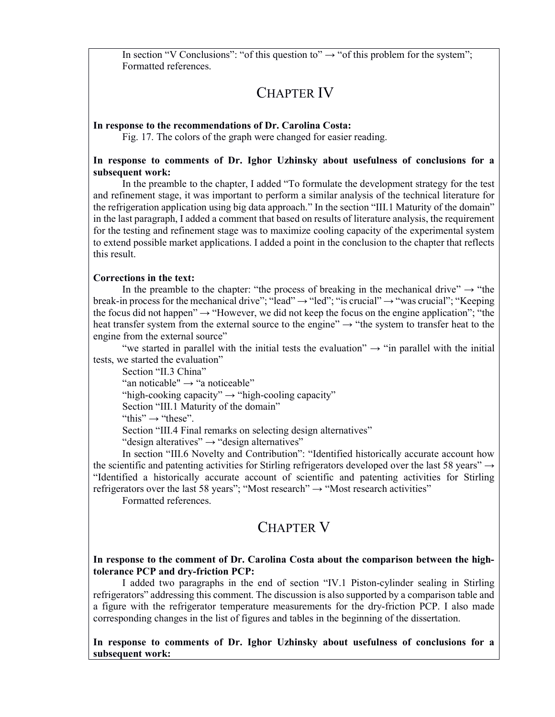In section "V Conclusions": "of this question to"  $\rightarrow$  "of this problem for the system"; Formatted references.

# CHAPTER IV

#### In response to the recommendations of Dr. Carolina Costa:

Fig. 17. The colors of the graph were changed for easier reading.

#### In response to comments of Dr. Ighor Uzhinsky about usefulness of conclusions for a subsequent work:

In the preamble to the chapter, I added "To formulate the development strategy for the test and refinement stage, it was important to perform a similar analysis of the technical literature for the refrigeration application using big data approach." In the section "III.1 Maturity of the domain" in the last paragraph, I added a comment that based on results of literature analysis, the requirement for the testing and refinement stage was to maximize cooling capacity of the experimental system to extend possible market applications. I added a point in the conclusion to the chapter that reflects this result.

#### Corrections in the text:

In the preamble to the chapter: "the process of breaking in the mechanical drive"  $\rightarrow$  "the break-in process for the mechanical drive"; "lead"  $\rightarrow$  "led"; "is crucial"  $\rightarrow$  "was crucial"; "Keeping the focus did not happen"  $\rightarrow$  "However, we did not keep the focus on the engine application"; "the heat transfer system from the external source to the engine"  $\rightarrow$  "the system to transfer heat to the engine from the external source"

"we started in parallel with the initial tests the evaluation"  $\rightarrow$  "in parallel with the initial tests, we started the evaluation"

Section "II.3 China"

"an noticable"  $\rightarrow$  "a noticeable"

"high-cooking capacity"  $\rightarrow$  "high-cooling capacity"

Section "III.1 Maturity of the domain"

"this"  $\rightarrow$  "these".

Section "III.4 Final remarks on selecting design alternatives"

"design alteratives"  $\rightarrow$  "design alternatives"

In section "III.6 Novelty and Contribution": "Identified historically accurate account how the scientific and patenting activities for Stirling refrigerators developed over the last 58 years"  $\rightarrow$ "Identified a historically accurate account of scientific and patenting activities for Stirling refrigerators over the last 58 years"; "Most research"  $\rightarrow$  "Most research activities"

Formatted references.

### CHAPTER V

#### In response to the comment of Dr. Carolina Costa about the comparison between the hightolerance PCP and dry-friction PCP:

I added two paragraphs in the end of section "IV.1 Piston-cylinder sealing in Stirling refrigerators" addressing this comment. The discussion is also supported by a comparison table and a figure with the refrigerator temperature measurements for the dry-friction PCP. I also made corresponding changes in the list of figures and tables in the beginning of the dissertation.

In response to comments of Dr. Ighor Uzhinsky about usefulness of conclusions for a subsequent work: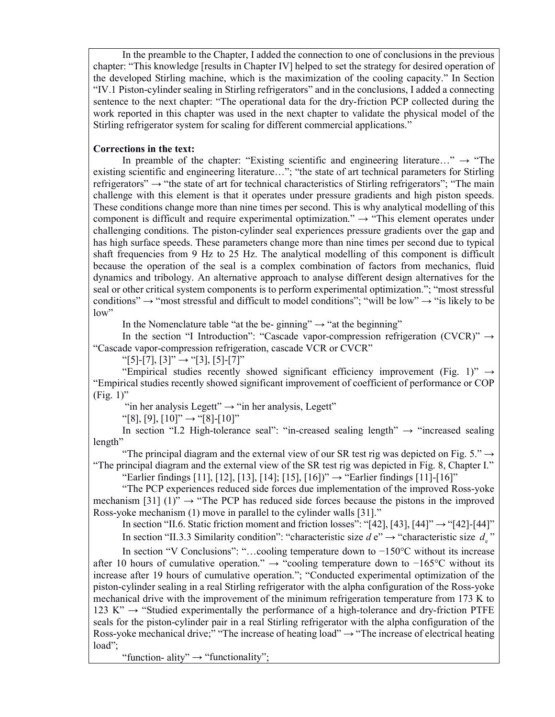In the preamble to the Chapter, I added the connection to one of conclusions in the previous chapter: "This knowledge [results in Chapter IV] helped to set the strategy for desired operation of the developed Stirling machine, which is the maximization of the cooling capacity." In Section "IV.1 Piston-cylinder sealing in Stirling refrigerators" and in the conclusions, I added a connecting sentence to the next chapter: "The operational data for the dry-friction PCP collected during the work reported in this chapter was used in the next chapter to validate the physical model of the Stirling refrigerator system for scaling for different commercial applications."

#### Corrections in the text:

In preamble of the chapter: "Existing scientific and engineering literature..."  $\rightarrow$  "The existing scientific and engineering literature…"; "the state of art technical parameters for Stirling refrigerators" → "the state of art for technical characteristics of Stirling refrigerators"; "The main challenge with this element is that it operates under pressure gradients and high piston speeds. These conditions change more than nine times per second. This is why analytical modelling of this component is difficult and require experimental optimization."  $\rightarrow$  "This element operates under challenging conditions. The piston-cylinder seal experiences pressure gradients over the gap and has high surface speeds. These parameters change more than nine times per second due to typical shaft frequencies from 9 Hz to 25 Hz. The analytical modelling of this component is difficult because the operation of the seal is a complex combination of factors from mechanics, fluid dynamics and tribology. An alternative approach to analyse different design alternatives for the seal or other critical system components is to perform experimental optimization."; "most stressful conditions"  $\rightarrow$  "most stressful and difficult to model conditions"; "will be low"  $\rightarrow$  "is likely to be low"

In the Nomenclature table "at the be- ginning"  $\rightarrow$  "at the beginning"

In the section "I Introduction": "Cascade vapor-compression refrigeration (CVCR)"  $\rightarrow$ "Cascade vapor-compression refrigeration, cascade VCR or CVCR"

"[5]-[7], [3]" → "[3], [5]-[7]"

"Empirical studies recently showed significant efficiency improvement (Fig. 1)"  $\rightarrow$ "Empirical studies recently showed significant improvement of coefficient of performance or COP  $(Fig. 1)$ "

"in her analysis Legett"  $\rightarrow$  "in her analysis, Legett"

"[8], [9],  $[10]$ "  $\rightarrow$  "[8]- $[10]$ "

In section "I.2 High-tolerance seal": "in-creased sealing length"  $\rightarrow$  "increased sealing length"

"The principal diagram and the external view of our SR test rig was depicted on Fig. 5."  $\rightarrow$ "The principal diagram and the external view of the SR test rig was depicted in Fig. 8, Chapter I."

"Earlier findings [11], [12], [13], [14]; [15], [16])"  $\rightarrow$  "Earlier findings [11]-[16]"

"The PCP experiences reduced side forces due implementation of the improved Ross-yoke mechanism [31] (1)"  $\rightarrow$  "The PCP has reduced side forces because the pistons in the improved Ross-yoke mechanism (1) move in parallel to the cylinder walls [31]."

In section "II.6. Static friction moment and friction losses": "[42], [43], [44]"  $\rightarrow$  "[42]-[44]"

In section "II.3.3 Similarity condition": "characteristic size d e"  $\rightarrow$  "characteristic size d<sub>e</sub>"

In section "V Conclusions": "…cooling temperature down to −150°C without its increase after 10 hours of cumulative operation." → "cooling temperature down to −165°C without its increase after 19 hours of cumulative operation."; "Conducted experimental optimization of the piston-cylinder sealing in a real Stirling refrigerator with the alpha configuration of the Ross-yoke mechanical drive with the improvement of the minimum refrigeration temperature from 173 K to 123 K"  $\rightarrow$  "Studied experimentally the performance of a high-tolerance and dry-friction PTFE seals for the piston-cylinder pair in a real Stirling refrigerator with the alpha configuration of the Ross-yoke mechanical drive;" "The increase of heating load"  $\rightarrow$  "The increase of electrical heating load";

"function- ality"  $\rightarrow$  "functionality";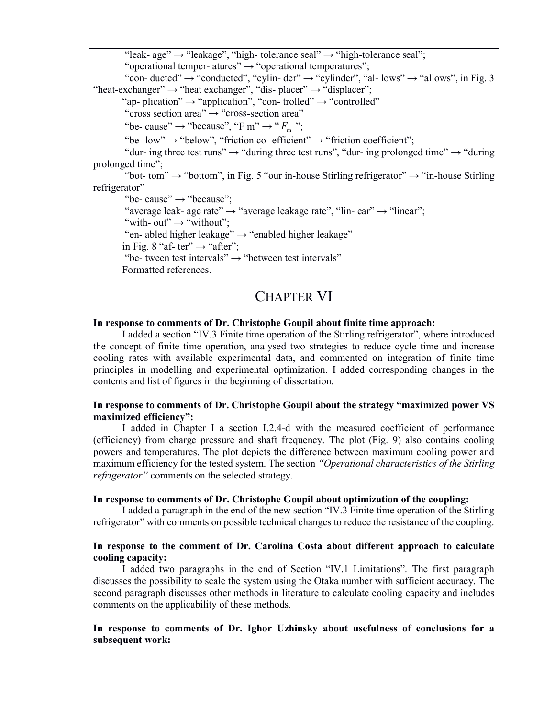"leak- age"  $\rightarrow$  "leakage", "high- tolerance seal"  $\rightarrow$  "high-tolerance seal";

"operational temper- atures"  $\rightarrow$  "operational temperatures";

"con- ducted"  $\rightarrow$  "conducted", "cylin- der"  $\rightarrow$  "cylinder", "al- lows"  $\rightarrow$  "allows", in Fig. 3 "heat-exchanger"  $\rightarrow$  "heat exchanger", "dis-placer"  $\rightarrow$  "displacer";

"ap- plication"  $\rightarrow$  "application", "con- trolled"  $\rightarrow$  "controlled"

"cross section area"  $\rightarrow$  "cross-section area"

"be- cause"  $\rightarrow$  "because", "F m"  $\rightarrow$  " $F_m$ ";

"be- low"  $\rightarrow$  "below", "friction co- efficient"  $\rightarrow$  "friction coefficient";

"dur- ing three test runs"  $\rightarrow$  "during three test runs", "dur- ing prolonged time"  $\rightarrow$  "during" prolonged time";

"bot- tom"  $\rightarrow$  "bottom", in Fig. 5 "our in-house Stirling refrigerator"  $\rightarrow$  "in-house Stirling" refrigerator"

"be- cause"  $\rightarrow$  "because";

"average leak- age rate"  $\rightarrow$  "average leakage rate", "lin- ear"  $\rightarrow$  "linear";

"with- out"  $\rightarrow$  "without";

"en- abled higher leakage" → "enabled higher leakage"

in Fig. 8 "af- ter"  $\rightarrow$  "after";

"be- tween test intervals"  $\rightarrow$  "between test intervals"

Formatted references.

### CHAPTER VI

#### In response to comments of Dr. Christophe Goupil about finite time approach:

I added a section "IV.3 Finite time operation of the Stirling refrigerator", where introduced the concept of finite time operation, analysed two strategies to reduce cycle time and increase cooling rates with available experimental data, and commented on integration of finite time principles in modelling and experimental optimization. I added corresponding changes in the contents and list of figures in the beginning of dissertation.

#### In response to comments of Dr. Christophe Goupil about the strategy "maximized power VS maximized efficiency":

I added in Chapter I a section I.2.4-d with the measured coefficient of performance (efficiency) from charge pressure and shaft frequency. The plot (Fig. 9) also contains cooling powers and temperatures. The plot depicts the difference between maximum cooling power and maximum efficiency for the tested system. The section "Operational characteristics of the Stirling refrigerator" comments on the selected strategy.

#### In response to comments of Dr. Christophe Goupil about optimization of the coupling:

I added a paragraph in the end of the new section "IV.3 Finite time operation of the Stirling refrigerator" with comments on possible technical changes to reduce the resistance of the coupling.

#### In response to the comment of Dr. Carolina Costa about different approach to calculate cooling capacity:

I added two paragraphs in the end of Section "IV.1 Limitations". The first paragraph discusses the possibility to scale the system using the Otaka number with sufficient accuracy. The second paragraph discusses other methods in literature to calculate cooling capacity and includes comments on the applicability of these methods.

#### In response to comments of Dr. Ighor Uzhinsky about usefulness of conclusions for a subsequent work: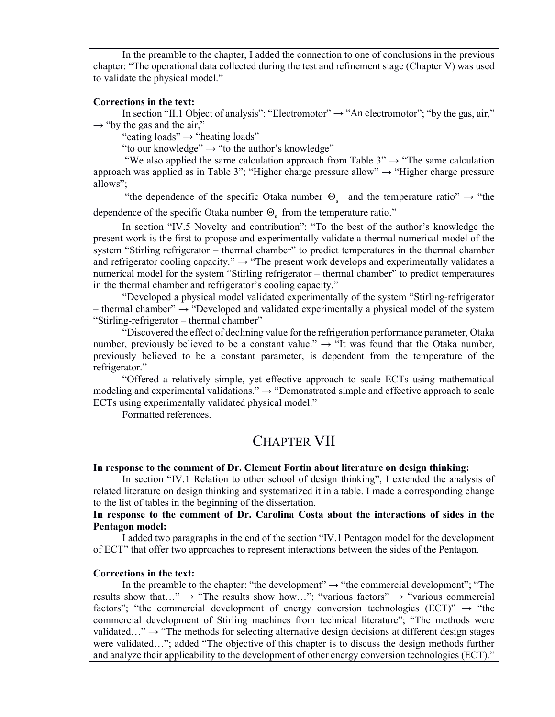In the preamble to the chapter, I added the connection to one of conclusions in the previous chapter: "The operational data collected during the test and refinement stage (Chapter V) was used to validate the physical model."

#### Corrections in the text:

In section "II.1 Object of analysis": "Electromotor"  $\rightarrow$  "An electromotor"; "by the gas, air,"  $\rightarrow$  "by the gas and the air,"

"eating loads"  $\rightarrow$  "heating loads"

"to our knowledge"  $\rightarrow$  "to the author's knowledge"

"We also applied the same calculation approach from Table 3"  $\rightarrow$  "The same calculation" approach was applied as in Table 3"; "Higher charge pressure allow"  $\rightarrow$  "Higher charge pressure allows";

"the dependence of the specific Otaka number  $\Theta_s$  and the temperature ratio"  $\rightarrow$  "the dependence of the specific Otaka number  $\Theta_{\rm s}$  from the temperature ratio."

In section "IV.5 Novelty and contribution": "To the best of the author's knowledge the present work is the first to propose and experimentally validate a thermal numerical model of the system "Stirling refrigerator – thermal chamber" to predict temperatures in the thermal chamber and refrigerator cooling capacity."  $\rightarrow$  "The present work develops and experimentally validates a numerical model for the system "Stirling refrigerator – thermal chamber" to predict temperatures in the thermal chamber and refrigerator's cooling capacity."

"Developed a physical model validated experimentally of the system "Stirling-refrigerator – thermal chamber"  $\rightarrow$  "Developed and validated experimentally a physical model of the system "Stirling-refrigerator – thermal chamber"

"Discovered the effect of declining value for the refrigeration performance parameter, Otaka number, previously believed to be a constant value."  $\rightarrow$  "It was found that the Otaka number, previously believed to be a constant parameter, is dependent from the temperature of the refrigerator."

"Offered a relatively simple, yet effective approach to scale ECTs using mathematical modeling and experimental validations."  $\rightarrow$  "Demonstrated simple and effective approach to scale ECTs using experimentally validated physical model."

Formatted references.

## CHAPTER VII

#### In response to the comment of Dr. Clement Fortin about literature on design thinking:

In section "IV.1 Relation to other school of design thinking", I extended the analysis of related literature on design thinking and systematized it in a table. I made a corresponding change to the list of tables in the beginning of the dissertation.

In response to the comment of Dr. Carolina Costa about the interactions of sides in the Pentagon model:

I added two paragraphs in the end of the section "IV.1 Pentagon model for the development of ECT" that offer two approaches to represent interactions between the sides of the Pentagon.

#### Corrections in the text:

In the preamble to the chapter: "the development"  $\rightarrow$  "the commercial development"; "The results show that…"  $\rightarrow$  "The results show how…"; "various factors"  $\rightarrow$  "various commercial factors"; "the commercial development of energy conversion technologies (ECT)"  $\rightarrow$  "the commercial development of Stirling machines from technical literature"; "The methods were validated..."  $\rightarrow$  "The methods for selecting alternative design decisions at different design stages were validated…"; added "The objective of this chapter is to discuss the design methods further and analyze their applicability to the development of other energy conversion technologies (ECT)."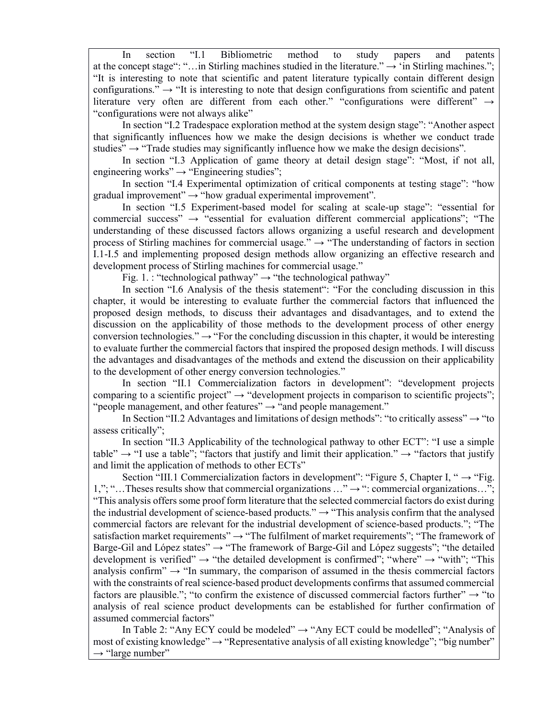In section "I.1 Bibliometric method to study papers and patents at the concept stage": "...in Stirling machines studied in the literature."  $\rightarrow$  'in Stirling machines."; "It is interesting to note that scientific and patent literature typically contain different design configurations."  $\rightarrow$  "It is interesting to note that design configurations from scientific and patent literature very often are different from each other." "configurations were different" → "configurations were not always alike"

In section "I.2 Tradespace exploration method at the system design stage": "Another aspect that significantly influences how we make the design decisions is whether we conduct trade studies"  $\rightarrow$  "Trade studies may significantly influence how we make the design decisions".

In section "I.3 Application of game theory at detail design stage": "Most, if not all, engineering works"  $\rightarrow$  "Engineering studies";

In section "I.4 Experimental optimization of critical components at testing stage": "how gradual improvement" $\rightarrow$  "how gradual experimental improvement".

In section "I.5 Experiment-based model for scaling at scale-up stage": "essential for commercial success"  $\rightarrow$  "essential for evaluation different commercial applications"; "The understanding of these discussed factors allows organizing a useful research and development process of Stirling machines for commercial usage."  $\rightarrow$  "The understanding of factors in section I.1-I.5 and implementing proposed design methods allow organizing an effective research and development process of Stirling machines for commercial usage."

Fig. 1. : "technological pathway"  $\rightarrow$  "the technological pathway"

In section "I.6 Analysis of the thesis statement": "For the concluding discussion in this chapter, it would be interesting to evaluate further the commercial factors that influenced the proposed design methods, to discuss their advantages and disadvantages, and to extend the discussion on the applicability of those methods to the development process of other energy conversion technologies."  $\rightarrow$  "For the concluding discussion in this chapter, it would be interesting to evaluate further the commercial factors that inspired the proposed design methods. I will discuss the advantages and disadvantages of the methods and extend the discussion on their applicability to the development of other energy conversion technologies."

In section "II.1 Commercialization factors in development": "development projects comparing to a scientific project"  $\rightarrow$  "development projects in comparison to scientific projects"; "people management, and other features"  $\rightarrow$  "and people management."

In Section "II.2 Advantages and limitations of design methods": "to critically assess"  $\rightarrow$  "to assess critically";

In section "II.3 Applicability of the technological pathway to other ECT": "I use a simple table"  $\rightarrow$  "I use a table"; "factors that justify and limit their application."  $\rightarrow$  "factors that justify and limit the application of methods to other ECTs"

Section "III.1 Commercialization factors in development": "Figure 5, Chapter I, " $\rightarrow$  "Fig. 1,"; "... Theses results show that commercial organizations ..."  $\rightarrow$  ": commercial organizations..."; "This analysis offers some proof form literature that the selected commercial factors do exist during the industrial development of science-based products."  $\rightarrow$  "This analysis confirm that the analysed commercial factors are relevant for the industrial development of science-based products."; "The satisfaction market requirements"  $\rightarrow$  "The fulfilment of market requirements"; "The framework of Barge-Gil and López states"  $\rightarrow$  "The framework of Barge-Gil and López suggests"; "the detailed development is verified"  $\rightarrow$  "the detailed development is confirmed"; "where"  $\rightarrow$  "with"; "This analysis confirm"  $\rightarrow$  "In summary, the comparison of assumed in the thesis commercial factors with the constraints of real science-based product developments confirms that assumed commercial factors are plausible."; "to confirm the existence of discussed commercial factors further"  $\rightarrow$  "to analysis of real science product developments can be established for further confirmation of assumed commercial factors"

In Table 2: "Any ECY could be modeled"  $\rightarrow$  "Any ECT could be modelled"; "Analysis of most of existing knowledge"  $\rightarrow$  "Representative analysis of all existing knowledge"; "big number"  $\rightarrow$  "large number"